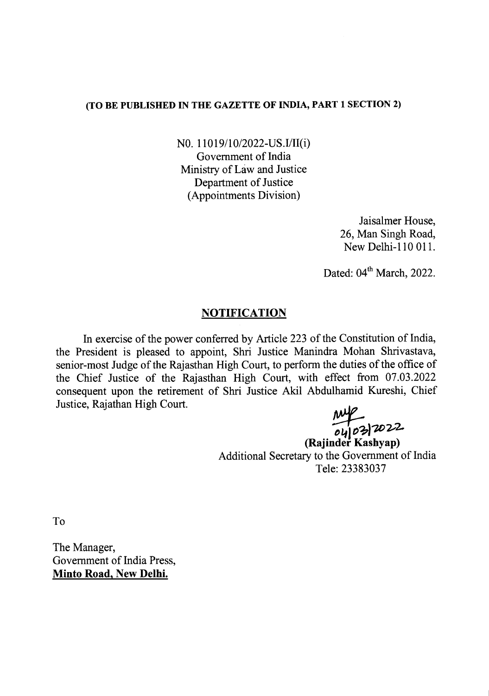## (TO BE PUBLISHED IN THE GAZETTE OF INDIA, PART 1 SECTION 2)

NO. 11019/10/2022-US.I/II(i) Government of India Ministry of Law and Justice Department of Justice (Appointments Division)

> Jaisalmer House, 26, Man Singh Road, New Delhi-110 011.

Dated:  $04<sup>th</sup> March$ , 2022.

## **NOTIFICATION**

In exercise of the power conferred by Article 223 of the Constitution of India, the President is pleased to appoint, Shri Justice Manindra Mohan Shrivastava, senior-most Judge of the Rajasthan High Court, to perform the duties of the office of the Chief Justice of the Rajasthan High Court, with effect from 07.03.2022 consequent upon the retirement of Shri Justice Akil Abdulhamid Kureshi, Chief Justice, Rajathan High Court.

~ t>~l *O~)7.Dv2.*

(Rajinder Kashyap) Additional Secretary to the Government of India Tele: 23383037

To

The Manager, Government of India Press, Minto Road, New Delhi.